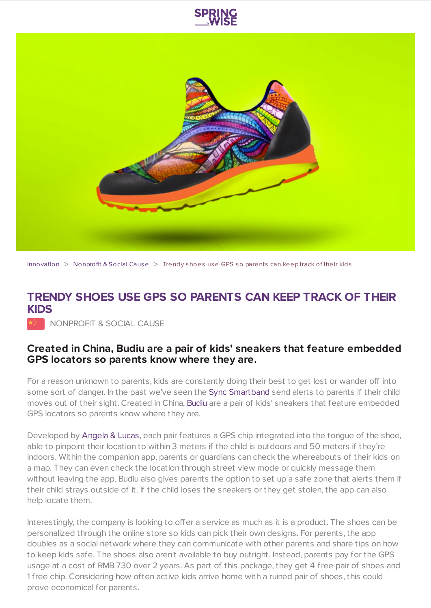



[Innovation](https://www.springwise.com/search?type=innovation) > [Nonprofit](https://www.springwise.com/search?type=innovation§or=nonprofit-social-cause) & Social Cause > Trendy shoes use GPS so parents can keep track of their kids

## **TRENDY SHOES USE GPS SO PARENTS CAN KEEP TRACK OF THEIR KIDS**

**NONPROFIT & SOCIAL CAUSE** 

## **Created in China, Budiu are a pair of kids' sneakers that feature embedded GPS locators so parents know where they are.**

For a reason unknown to parents, kids are constantly doing their best to get lost or wander off into some sort of danger. In the past we've seen the Sync [Smartband](https://www.springwise.com/smart-wristband-monitor-kids-trouble/) send alerts to parents if their child moves out of their sight. Created in China, [Budiu](http://www.ebudiu.cn/) are a pair of kids' sneakers that feature embedded GPS locators so parents know where they are.

Developed by [Angela](http://www.andl.com/) & Lucas, each pair features a GPS chip integrated into the tongue of the shoe, able to pinpoint their location to within 3 meters if the child is outdoors and 50 meters if they're indoors. Within the companion app, parents or guardians can check the whereabouts of their kids on a map. They can even check the location through street view mode or quickly message them without leaving the app. Budiu also gives parents the option to set up a safe zone that alerts them if their child strays outside of it. If the child loses the sneakers or they get stolen, the app can also help locate them.

Interestingly, the company is looking to offer a service as much as it is a product. The shoes can be personalized through the online store so kids can pick their own designs. For parents, the app doubles as a social network where they can communicate with other parents and share tips on how to keep kids safe. The shoes also aren't available to buy outright. Instead, parents pay for the GPS usage at a cost of RMB 730 over 2 years. As part of this package, they get 4 free pair of shoes and 1 free chip. Considering how often active kids arrive home with a ruined pair of shoes, this could prove economical for parents.